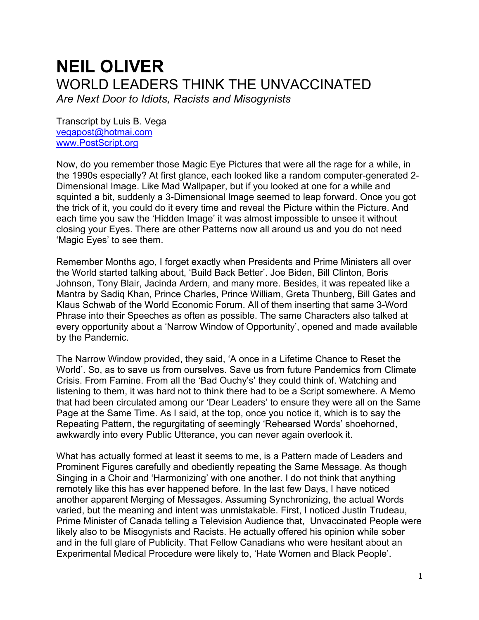## **NEIL OLIVER** WORLD LEADERS THINK THE UNVACCINATED *Are Next Door to Idiots, Racists and Misogynists*

Transcript by Luis B. Vega [vegapost@hotmai.com](mailto:vegapost@hotmai.com) [www.PostScript.org](http://www.postscript.org/)

Now, do you remember those Magic Eye Pictures that were all the rage for a while, in the 1990s especially? At first glance, each looked like a random computer-generated 2- Dimensional Image. Like Mad Wallpaper, but if you looked at one for a while and squinted a bit, suddenly a 3-Dimensional Image seemed to leap forward. Once you got the trick of it, you could do it every time and reveal the Picture within the Picture. And each time you saw the 'Hidden Image' it was almost impossible to unsee it without closing your Eyes. There are other Patterns now all around us and you do not need 'Magic Eyes' to see them.

Remember Months ago, I forget exactly when Presidents and Prime Ministers all over the World started talking about, 'Build Back Better'. Joe Biden, Bill Clinton, Boris Johnson, Tony Blair, Jacinda Ardern, and many more. Besides, it was repeated like a Mantra by Sadiq Khan, Prince Charles, Prince William, Greta Thunberg, Bill Gates and Klaus Schwab of the World Economic Forum. All of them inserting that same 3-Word Phrase into their Speeches as often as possible. The same Characters also talked at every opportunity about a 'Narrow Window of Opportunity', opened and made available by the Pandemic.

The Narrow Window provided, they said, 'A once in a Lifetime Chance to Reset the World'. So, as to save us from ourselves. Save us from future Pandemics from Climate Crisis. From Famine. From all the 'Bad Ouchy's' they could think of. Watching and listening to them, it was hard not to think there had to be a Script somewhere. A Memo that had been circulated among our 'Dear Leaders' to ensure they were all on the Same Page at the Same Time. As I said, at the top, once you notice it, which is to say the Repeating Pattern, the regurgitating of seemingly 'Rehearsed Words' shoehorned, awkwardly into every Public Utterance, you can never again overlook it.

What has actually formed at least it seems to me, is a Pattern made of Leaders and Prominent Figures carefully and obediently repeating the Same Message. As though Singing in a Choir and 'Harmonizing' with one another. I do not think that anything remotely like this has ever happened before. In the last few Days, I have noticed another apparent Merging of Messages. Assuming Synchronizing, the actual Words varied, but the meaning and intent was unmistakable. First, I noticed Justin Trudeau, Prime Minister of Canada telling a Television Audience that, Unvaccinated People were likely also to be Misogynists and Racists. He actually offered his opinion while sober and in the full glare of Publicity. That Fellow Canadians who were hesitant about an Experimental Medical Procedure were likely to, 'Hate Women and Black People'.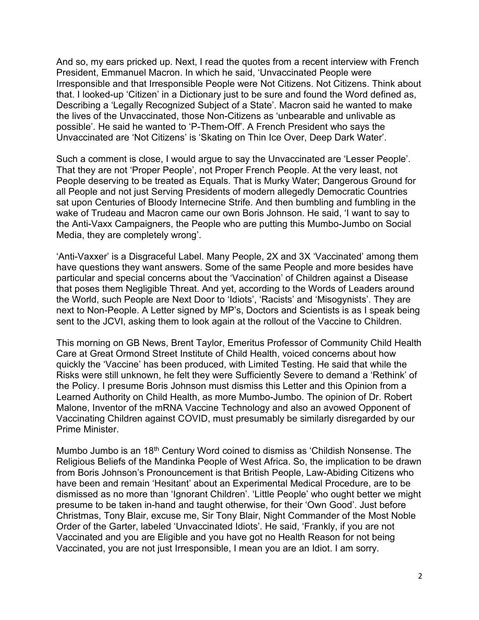And so, my ears pricked up. Next, I read the quotes from a recent interview with French President, Emmanuel Macron. In which he said, 'Unvaccinated People were Irresponsible and that Irresponsible People were Not Citizens. Not Citizens. Think about that. I looked-up 'Citizen' in a Dictionary just to be sure and found the Word defined as, Describing a 'Legally Recognized Subject of a State'. Macron said he wanted to make the lives of the Unvaccinated, those Non-Citizens as 'unbearable and unlivable as possible'. He said he wanted to 'P-Them-Off'. A French President who says the Unvaccinated are 'Not Citizens' is 'Skating on Thin Ice Over, Deep Dark Water'.

Such a comment is close, I would argue to say the Unvaccinated are 'Lesser People'. That they are not 'Proper People', not Proper French People. At the very least, not People deserving to be treated as Equals. That is Murky Water; Dangerous Ground for all People and not just Serving Presidents of modern allegedly Democratic Countries sat upon Centuries of Bloody Internecine Strife. And then bumbling and fumbling in the wake of Trudeau and Macron came our own Boris Johnson. He said, 'I want to say to the Anti-Vaxx Campaigners, the People who are putting this Mumbo-Jumbo on Social Media, they are completely wrong'.

'Anti-Vaxxer' is a Disgraceful Label. Many People, 2X and 3X 'Vaccinated' among them have questions they want answers. Some of the same People and more besides have particular and special concerns about the 'Vaccination' of Children against a Disease that poses them Negligible Threat. And yet, according to the Words of Leaders around the World, such People are Next Door to 'Idiots', 'Racists' and 'Misogynists'. They are next to Non-People. A Letter signed by MP's, Doctors and Scientists is as I speak being sent to the JCVI, asking them to look again at the rollout of the Vaccine to Children.

This morning on GB News, Brent Taylor, Emeritus Professor of Community Child Health Care at Great Ormond Street Institute of Child Health, voiced concerns about how quickly the 'Vaccine' has been produced, with Limited Testing. He said that while the Risks were still unknown, he felt they were Sufficiently Severe to demand a 'Rethink' of the Policy. I presume Boris Johnson must dismiss this Letter and this Opinion from a Learned Authority on Child Health, as more Mumbo-Jumbo. The opinion of Dr. Robert Malone, Inventor of the mRNA Vaccine Technology and also an avowed Opponent of Vaccinating Children against COVID, must presumably be similarly disregarded by our Prime Minister.

Mumbo Jumbo is an 18th Century Word coined to dismiss as 'Childish Nonsense. The Religious Beliefs of the Mandinka People of West Africa. So, the implication to be drawn from Boris Johnson's Pronouncement is that British People, Law-Abiding Citizens who have been and remain 'Hesitant' about an Experimental Medical Procedure, are to be dismissed as no more than 'Ignorant Children'. 'Little People' who ought better we might presume to be taken in-hand and taught otherwise, for their 'Own Good'. Just before Christmas, Tony Blair, excuse me, Sir Tony Blair, Night Commander of the Most Noble Order of the Garter, labeled 'Unvaccinated Idiots'. He said, 'Frankly, if you are not Vaccinated and you are Eligible and you have got no Health Reason for not being Vaccinated, you are not just Irresponsible, I mean you are an Idiot. I am sorry.